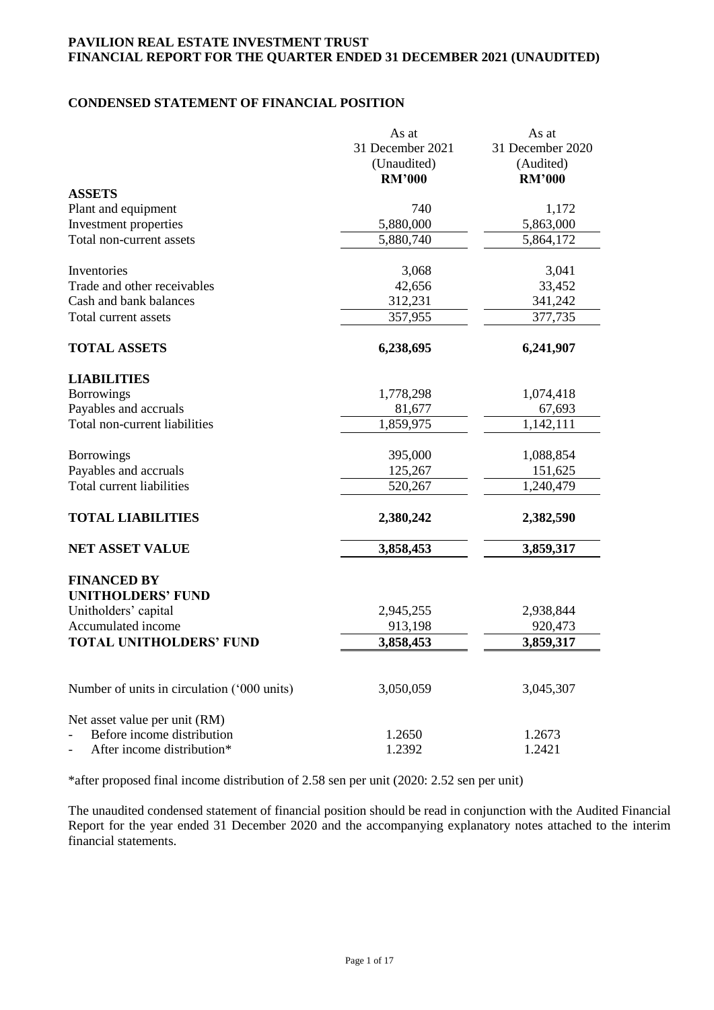# **CONDENSED STATEMENT OF FINANCIAL POSITION**

|                                             | As at            | As at            |
|---------------------------------------------|------------------|------------------|
|                                             | 31 December 2021 | 31 December 2020 |
|                                             | (Unaudited)      | (Audited)        |
|                                             | <b>RM'000</b>    | <b>RM'000</b>    |
| <b>ASSETS</b>                               |                  |                  |
| Plant and equipment                         | 740              | 1,172            |
| Investment properties                       | 5,880,000        | 5,863,000        |
| Total non-current assets                    | 5,880,740        | 5,864,172        |
| Inventories                                 | 3,068            | 3,041            |
| Trade and other receivables                 | 42,656           | 33,452           |
| Cash and bank balances                      | 312,231          | 341,242          |
| Total current assets                        | 357,955          | 377,735          |
| <b>TOTAL ASSETS</b>                         | 6,238,695        | 6,241,907        |
| <b>LIABILITIES</b>                          |                  |                  |
| <b>Borrowings</b>                           | 1,778,298        | 1,074,418        |
| Payables and accruals                       | 81,677           | 67,693           |
| Total non-current liabilities               | 1,859,975        | 1,142,111        |
|                                             |                  |                  |
| <b>Borrowings</b>                           | 395,000          | 1,088,854        |
| Payables and accruals                       | 125,267          | 151,625          |
| Total current liabilities                   | 520,267          | 1,240,479        |
| <b>TOTAL LIABILITIES</b>                    | 2,380,242        | 2,382,590        |
| <b>NET ASSET VALUE</b>                      | 3,858,453        | 3,859,317        |
| <b>FINANCED BY</b>                          |                  |                  |
| <b>UNITHOLDERS' FUND</b>                    |                  |                  |
| Unitholders' capital                        | 2,945,255        | 2,938,844        |
| Accumulated income                          | 913,198          | 920,473          |
| <b>TOTAL UNITHOLDERS' FUND</b>              | 3,858,453        | 3,859,317        |
|                                             |                  |                  |
| Number of units in circulation ('000 units) | 3,050,059        | 3,045,307        |
| Net asset value per unit (RM)               |                  |                  |
| Before income distribution                  | 1.2650           | 1.2673           |
| After income distribution*                  | 1.2392           | 1.2421           |

\*after proposed final income distribution of 2.58 sen per unit (2020: 2.52 sen per unit)

The unaudited condensed statement of financial position should be read in conjunction with the Audited Financial Report for the year ended 31 December 2020 and the accompanying explanatory notes attached to the interim financial statements.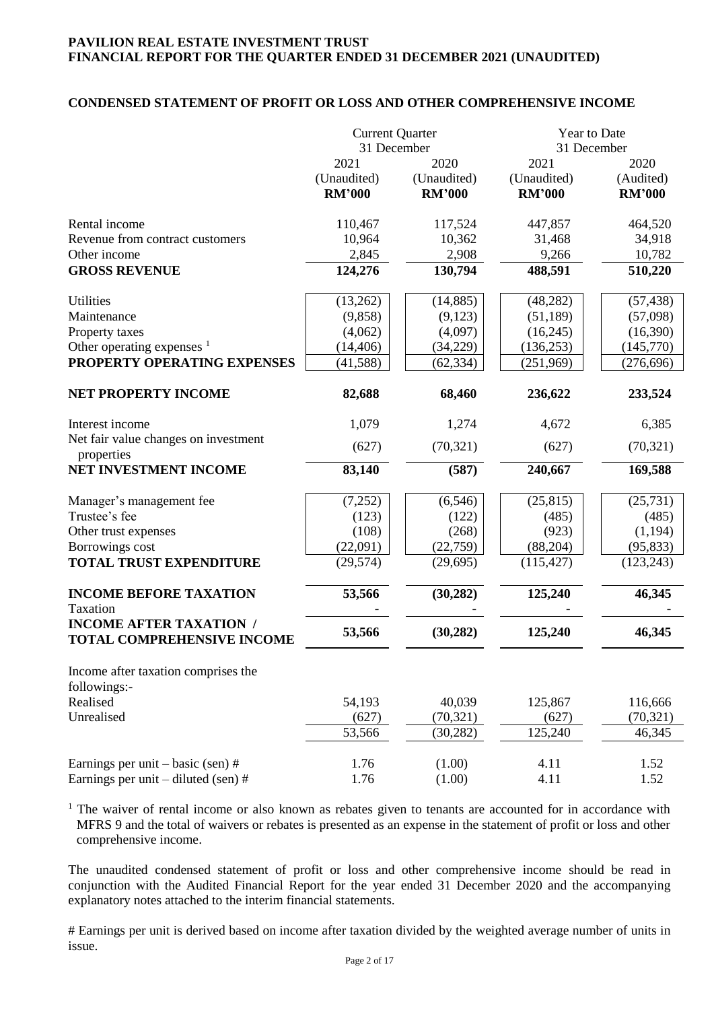# **CONDENSED STATEMENT OF PROFIT OR LOSS AND OTHER COMPREHENSIVE INCOME**

|                                                                     | <b>Current Quarter</b><br>31 December |                                      | Year to Date<br>31 December          |                                    |
|---------------------------------------------------------------------|---------------------------------------|--------------------------------------|--------------------------------------|------------------------------------|
|                                                                     | 2021<br>(Unaudited)<br><b>RM'000</b>  | 2020<br>(Unaudited)<br><b>RM'000</b> | 2021<br>(Unaudited)<br><b>RM'000</b> | 2020<br>(Audited)<br><b>RM'000</b> |
| Rental income                                                       | 110,467                               | 117,524                              | 447,857                              | 464,520                            |
| Revenue from contract customers                                     | 10,964                                | 10,362                               | 31,468                               | 34,918                             |
| Other income                                                        | 2,845                                 | 2,908                                | 9,266                                | 10,782                             |
| <b>GROSS REVENUE</b>                                                | 124,276                               | 130,794                              | 488,591                              | 510,220                            |
| <b>Utilities</b>                                                    | (13,262)                              | (14, 885)                            | (48, 282)                            | (57, 438)                          |
| Maintenance                                                         | (9, 858)                              | (9,123)                              | (51, 189)                            | (57,098)                           |
| Property taxes                                                      | (4,062)                               | (4,097)                              | (16,245)                             | (16,390)                           |
| Other operating expenses $1$                                        | (14, 406)                             | (34,229)                             | (136, 253)                           | (145,770)                          |
| PROPERTY OPERATING EXPENSES                                         | (41, 588)                             | (62, 334)                            | (251,969)                            | (276, 696)                         |
| NET PROPERTY INCOME                                                 | 82,688                                | 68,460                               | 236,622                              | 233,524                            |
| Interest income                                                     | 1,079                                 | 1,274                                | 4,672                                | 6,385                              |
| Net fair value changes on investment<br>properties                  | (627)                                 | (70, 321)                            | (627)                                | (70, 321)                          |
| NET INVESTMENT INCOME                                               | 83,140                                | (587)                                | 240,667                              | 169,588                            |
| Manager's management fee                                            | (7,252)                               | (6, 546)                             | (25, 815)                            | (25, 731)                          |
| Trustee's fee                                                       | (123)                                 | (122)                                | (485)                                | (485)                              |
| Other trust expenses                                                | (108)                                 | (268)                                | (923)                                | (1, 194)                           |
| Borrowings cost                                                     | (22,091)                              | (22,759)                             | (88, 204)                            | (95, 833)                          |
| <b>TOTAL TRUST EXPENDITURE</b>                                      | (29, 574)                             | (29, 695)                            | (115, 427)                           | (123, 243)                         |
| <b>INCOME BEFORE TAXATION</b>                                       | 53,566                                | (30, 282)                            | 125,240                              | 46,345                             |
| Taxation                                                            |                                       |                                      |                                      |                                    |
| <b>INCOME AFTER TAXATION /</b><br><b>TOTAL COMPREHENSIVE INCOME</b> | 53,566                                | (30, 282)                            | 125,240                              | 46,345                             |
| Income after taxation comprises the<br>followings:-                 |                                       |                                      |                                      |                                    |
| Realised                                                            | 54,193                                | 40,039                               | 125,867                              | 116,666                            |
| Unrealised                                                          | (627)                                 | (70, 321)                            | (627)                                | (70, 321)                          |
|                                                                     | 53,566                                | (30, 282)                            | 125,240                              | 46,345                             |
| Earnings per unit $-$ basic (sen) #                                 | 1.76                                  | (1.00)                               | 4.11                                 | 1.52                               |
| Earnings per unit $-$ diluted (sen) #                               | 1.76                                  | (1.00)                               | 4.11                                 | 1.52                               |

<sup>1</sup> The waiver of rental income or also known as rebates given to tenants are accounted for in accordance with MFRS 9 and the total of waivers or rebates is presented as an expense in the statement of profit or loss and other comprehensive income.

The unaudited condensed statement of profit or loss and other comprehensive income should be read in conjunction with the Audited Financial Report for the year ended 31 December 2020 and the accompanying explanatory notes attached to the interim financial statements.

# Earnings per unit is derived based on income after taxation divided by the weighted average number of units in issue.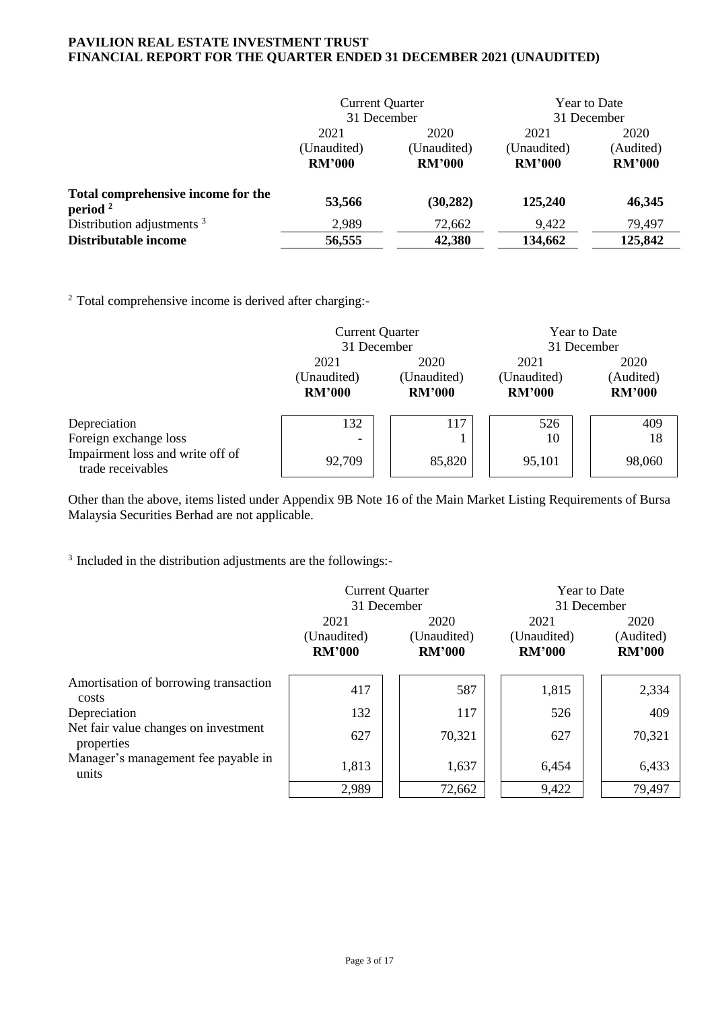|                                                  | <b>Current Quarter</b><br>31 December |                                      | <b>Year to Date</b><br>31 December   |                                    |
|--------------------------------------------------|---------------------------------------|--------------------------------------|--------------------------------------|------------------------------------|
|                                                  | 2021<br>(Unaudited)<br><b>RM'000</b>  | 2020<br>(Unaudited)<br><b>RM'000</b> | 2021<br>(Unaudited)<br><b>RM'000</b> | 2020<br>(Audited)<br><b>RM'000</b> |
| Total comprehensive income for the<br>period $2$ | 53,566                                | (30, 282)                            | 125,240                              | 46,345                             |
| Distribution adjustments <sup>3</sup>            | 2,989                                 | 72,662                               | 9,422                                | 79,497                             |
| Distributable income                             | 56,555                                | 42,380                               | 134,662                              | 125,842                            |

<sup>2</sup> Total comprehensive income is derived after charging:-

|                                                       | <b>Current Quarter</b>   |  |               | <b>Year to Date</b> |               |  |               |
|-------------------------------------------------------|--------------------------|--|---------------|---------------------|---------------|--|---------------|
|                                                       | 31 December              |  |               |                     | 31 December   |  |               |
|                                                       | 2021                     |  | 2020          |                     | 2021          |  | 2020          |
|                                                       | (Unaudited)              |  | (Unaudited)   |                     | (Unaudited)   |  | (Audited)     |
|                                                       | <b>RM'000</b>            |  | <b>RM'000</b> |                     | <b>RM'000</b> |  | <b>RM'000</b> |
| Depreciation                                          | 132                      |  | 117           |                     | 526           |  | 409           |
| Foreign exchange loss                                 | $\overline{\phantom{0}}$ |  |               |                     | 10            |  | 18            |
| Impairment loss and write off of<br>trade receivables | 92,709                   |  | 85,820        |                     | 95,101        |  | 98,060        |

Other than the above, items listed under Appendix 9B Note 16 of the Main Market Listing Requirements of Bursa Malaysia Securities Berhad are not applicable.

<sup>3</sup> Included in the distribution adjustments are the followings:-

|                                                    | <b>Current Quarter</b> |               | <b>Year to Date</b> |               |
|----------------------------------------------------|------------------------|---------------|---------------------|---------------|
|                                                    | 31 December            |               | 31 December         |               |
|                                                    | 2021                   | 2020          | 2021                | 2020          |
|                                                    | (Unaudited)            | (Unaudited)   | (Unaudited)         | (Audited)     |
|                                                    | <b>RM'000</b>          | <b>RM'000</b> | <b>RM'000</b>       | <b>RM'000</b> |
| Amortisation of borrowing transaction              | 417                    | 587           | 1,815               | 2,334         |
| costs<br>Depreciation                              | 132                    | 117           | 526                 | 409           |
| Net fair value changes on investment<br>properties | 627                    | 70,321        | 627                 | 70,321        |
| Manager's management fee payable in<br>units       | 1,813                  | 1,637         | 6,454               | 6,433         |
|                                                    | 2,989                  | 72,662        | 9,422               | 79,497        |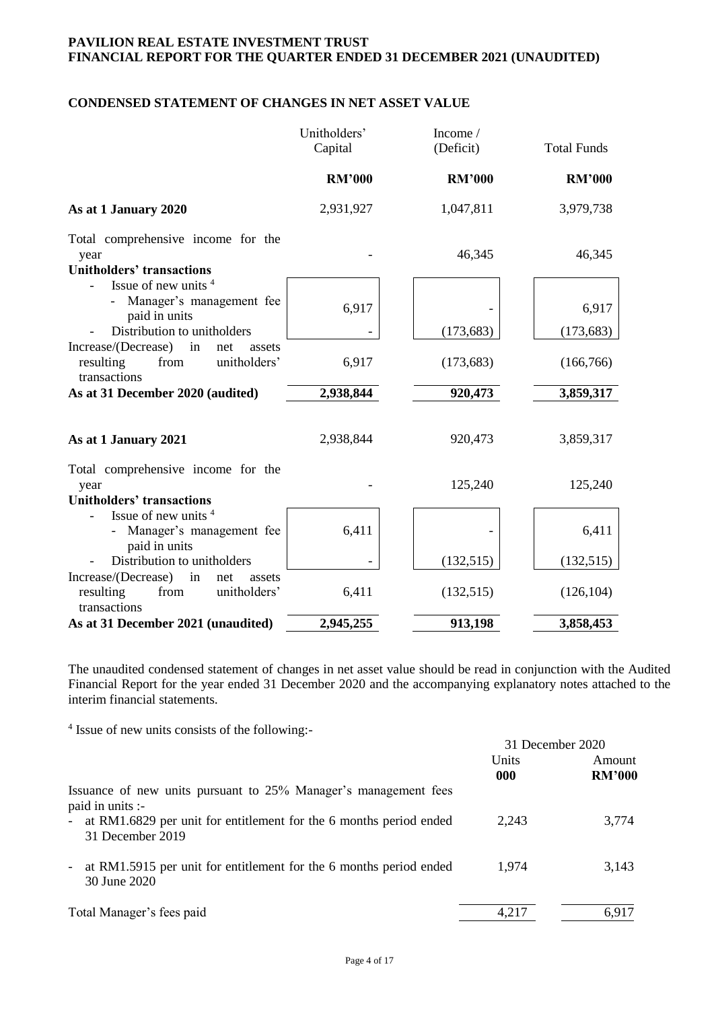# **CONDENSED STATEMENT OF CHANGES IN NET ASSET VALUE**

|                                                                                                 | Unitholders'<br>Capital | Income/<br>(Deficit) | <b>Total Funds</b> |
|-------------------------------------------------------------------------------------------------|-------------------------|----------------------|--------------------|
|                                                                                                 | <b>RM'000</b>           | <b>RM'000</b>        | <b>RM'000</b>      |
| As at 1 January 2020                                                                            | 2,931,927               | 1,047,811            | 3,979,738          |
| Total comprehensive income for the<br>year<br><b>Unitholders' transactions</b>                  |                         | 46,345               | 46,345             |
| Issue of new units <sup>4</sup><br>Manager's management fee<br>paid in units                    | 6,917                   |                      | 6,917              |
| Distribution to unitholders                                                                     |                         | (173, 683)           | (173, 683)         |
| Increase/(Decrease)<br>in<br>net<br>assets<br>unitholders'<br>resulting<br>from<br>transactions | 6,917                   | (173, 683)           | (166, 766)         |
| As at 31 December 2020 (audited)                                                                | 2,938,844               | 920,473              | 3,859,317          |
| As at 1 January 2021                                                                            | 2,938,844               | 920,473              | 3,859,317          |
| Total comprehensive income for the<br>year<br><b>Unitholders' transactions</b>                  |                         | 125,240              | 125,240            |
| Issue of new units <sup>4</sup><br>Manager's management fee<br>paid in units                    | 6,411                   |                      | 6,411              |
| Distribution to unitholders                                                                     |                         | (132, 515)           | (132,515)          |
| Increase/(Decrease)<br>in<br>net<br>assets<br>unitholders'<br>resulting<br>from<br>transactions | 6,411                   | (132, 515)           | (126, 104)         |
| As at 31 December 2021 (unaudited)                                                              | 2,945,255               | 913,198              | 3,858,453          |

The unaudited condensed statement of changes in net asset value should be read in conjunction with the Audited Financial Report for the year ended 31 December 2020 and the accompanying explanatory notes attached to the interim financial statements.

4 Issue of new units consists of the following:-

|                                                                                          |              | 31 December 2020        |
|------------------------------------------------------------------------------------------|--------------|-------------------------|
|                                                                                          | Units<br>000 | Amount<br><b>RM'000</b> |
| Issuance of new units pursuant to 25% Manager's management fees<br>paid in units :-      |              |                         |
| - at RM1.6829 per unit for entitlement for the 6 months period ended<br>31 December 2019 | 2,243        | 3,774                   |
| - at RM1.5915 per unit for entitlement for the 6 months period ended<br>30 June 2020     | 1,974        | 3.143                   |
| Total Manager's fees paid                                                                | 4,217        | 6.917                   |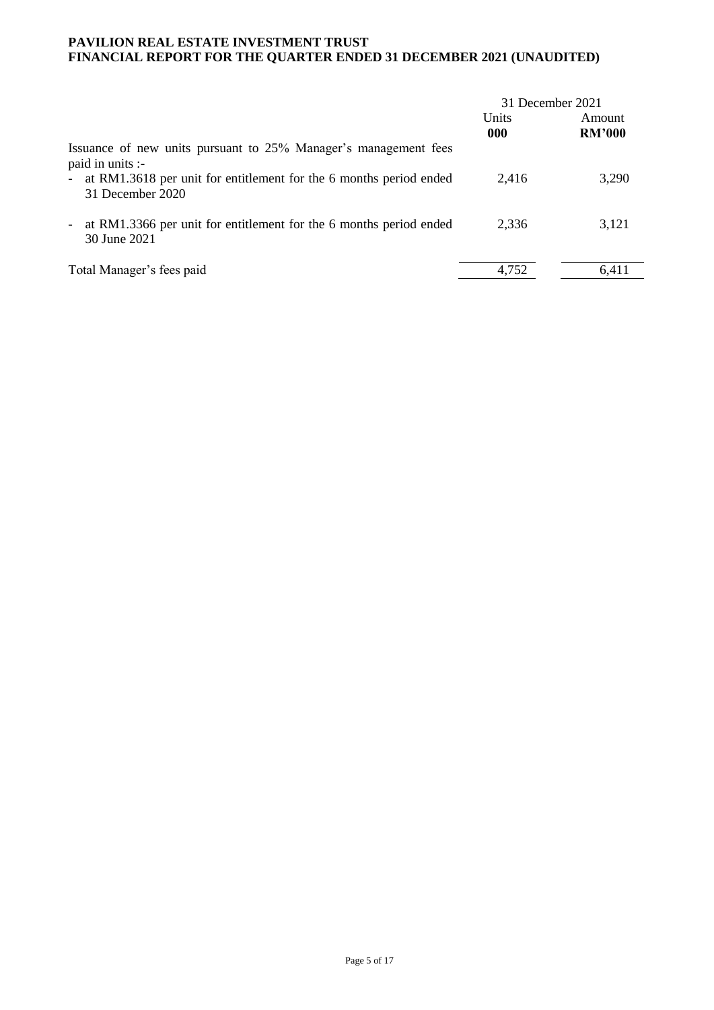|                                                                                                                | 31 December 2021 |                         |
|----------------------------------------------------------------------------------------------------------------|------------------|-------------------------|
|                                                                                                                | Units<br>000     | Amount<br><b>RM'000</b> |
| Issuance of new units pursuant to 25% Manager's management fees<br>paid in units :-                            |                  |                         |
| - at RM1.3618 per unit for entitlement for the 6 months period ended<br>31 December 2020                       | 2.416            | 3,290                   |
| at RM1.3366 per unit for entitlement for the 6 months period ended<br>$\overline{\phantom{a}}$<br>30 June 2021 | 2.336            | 3,121                   |
| Total Manager's fees paid                                                                                      | 4,752            | 6.411                   |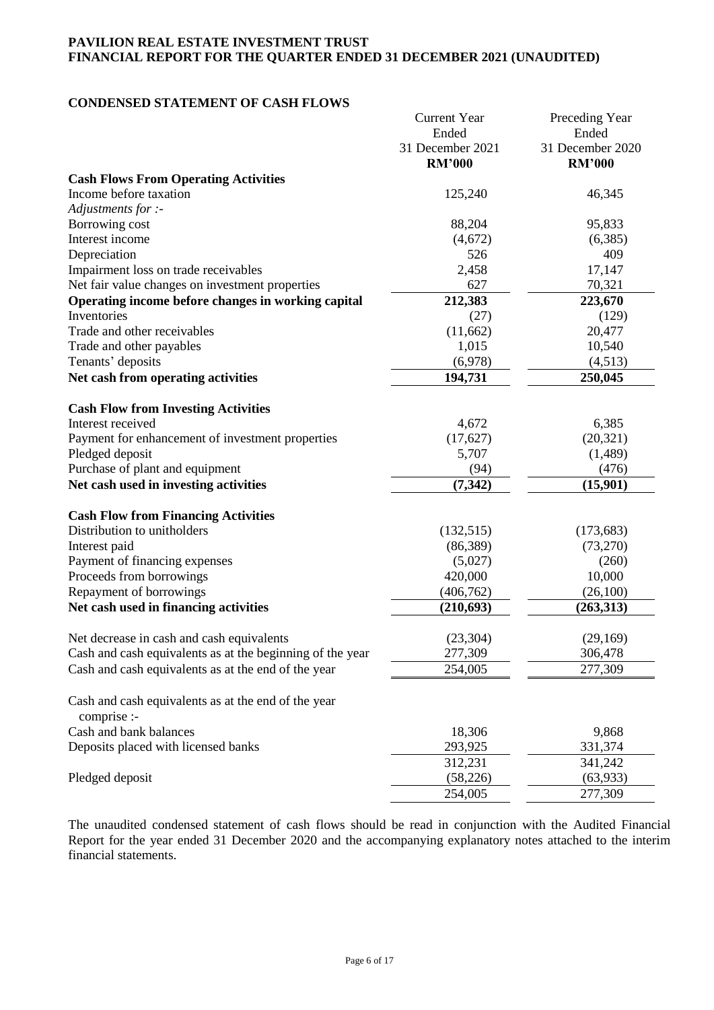## **CONDENSED STATEMENT OF CASH FLOWS**

|                                                                    | <b>Current Year</b>               | Preceding Year                    |
|--------------------------------------------------------------------|-----------------------------------|-----------------------------------|
|                                                                    | Ended                             | Ended                             |
|                                                                    | 31 December 2021<br><b>RM'000</b> | 31 December 2020<br><b>RM'000</b> |
| <b>Cash Flows From Operating Activities</b>                        |                                   |                                   |
| Income before taxation                                             | 125,240                           | 46,345                            |
| Adjustments for :-                                                 |                                   |                                   |
| Borrowing cost                                                     | 88,204                            | 95,833                            |
| Interest income                                                    | (4,672)                           | (6,385)                           |
| Depreciation                                                       | 526                               | 409                               |
| Impairment loss on trade receivables                               | 2,458                             | 17,147                            |
| Net fair value changes on investment properties                    | 627                               | 70,321                            |
| Operating income before changes in working capital                 | 212,383                           | 223,670                           |
| Inventories                                                        | (27)                              | (129)                             |
| Trade and other receivables                                        | (11,662)                          | 20,477                            |
| Trade and other payables                                           | 1,015                             | 10,540                            |
| Tenants' deposits                                                  | (6,978)                           | (4,513)                           |
| Net cash from operating activities                                 | 194,731                           | 250,045                           |
|                                                                    |                                   |                                   |
| <b>Cash Flow from Investing Activities</b>                         |                                   |                                   |
| Interest received                                                  | 4,672                             | 6,385                             |
| Payment for enhancement of investment properties                   | (17,627)                          | (20, 321)                         |
| Pledged deposit                                                    | 5,707                             | (1,489)                           |
| Purchase of plant and equipment                                    | (94)                              | (476)                             |
| Net cash used in investing activities                              | (7, 342)                          | (15,901)                          |
|                                                                    |                                   |                                   |
| <b>Cash Flow from Financing Activities</b>                         |                                   |                                   |
| Distribution to unitholders                                        | (132, 515)                        | (173, 683)                        |
| Interest paid                                                      | (86,389)                          | (73,270)                          |
| Payment of financing expenses                                      | (5,027)                           | (260)                             |
| Proceeds from borrowings                                           | 420,000                           | 10,000                            |
| Repayment of borrowings                                            | (406, 762)                        | (26,100)                          |
| Net cash used in financing activities                              | (210, 693)                        | (263,313)                         |
|                                                                    |                                   |                                   |
| Net decrease in cash and cash equivalents                          | (23, 304)                         | (29,169)                          |
| Cash and cash equivalents as at the beginning of the year          | 277,309                           | 306,478                           |
| Cash and cash equivalents as at the end of the year                | 254,005                           | 277,309                           |
|                                                                    |                                   |                                   |
| Cash and cash equivalents as at the end of the year<br>comprise :- |                                   |                                   |
| Cash and bank balances                                             | 18,306                            | 9,868                             |
| Deposits placed with licensed banks                                | 293,925                           | 331,374                           |
|                                                                    | 312,231                           | 341,242                           |
| Pledged deposit                                                    | (58, 226)                         | (63, 933)                         |
|                                                                    | 254,005                           | 277,309                           |
|                                                                    |                                   |                                   |

The unaudited condensed statement of cash flows should be read in conjunction with the Audited Financial Report for the year ended 31 December 2020 and the accompanying explanatory notes attached to the interim financial statements.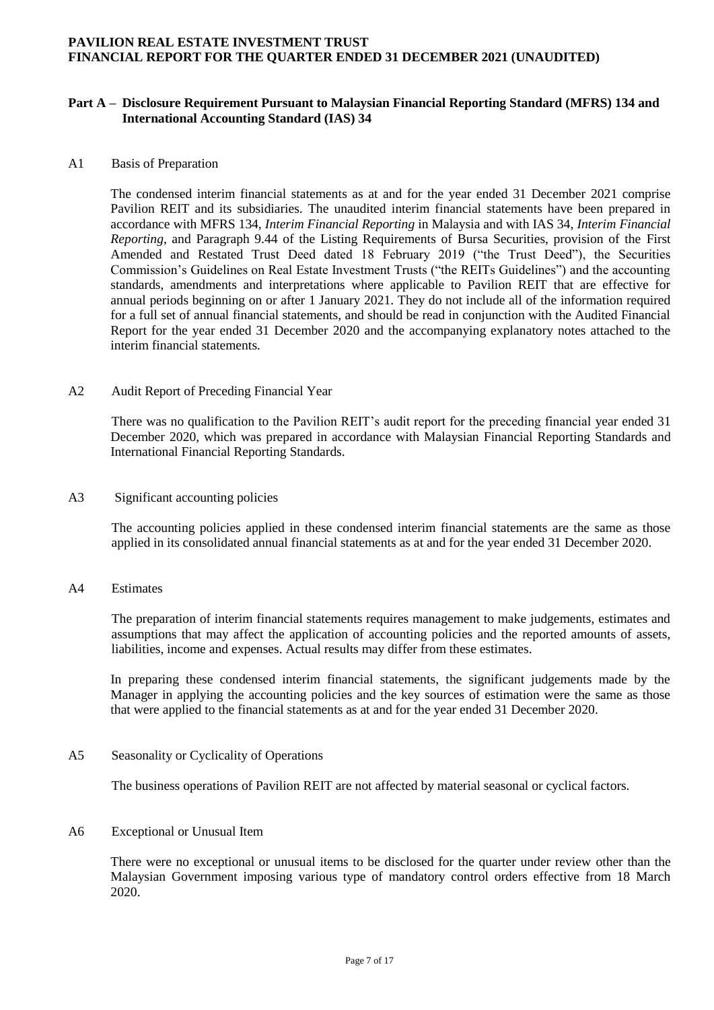#### **Part A – Disclosure Requirement Pursuant to Malaysian Financial Reporting Standard (MFRS) 134 and International Accounting Standard (IAS) 34**

#### A1 Basis of Preparation

The condensed interim financial statements as at and for the year ended 31 December 2021 comprise Pavilion REIT and its subsidiaries. The unaudited interim financial statements have been prepared in accordance with MFRS 134, *Interim Financial Reporting* in Malaysia and with IAS 34, *Interim Financial Reporting*, and Paragraph 9.44 of the Listing Requirements of Bursa Securities, provision of the First Amended and Restated Trust Deed dated 18 February 2019 ("the Trust Deed"), the Securities Commission's Guidelines on Real Estate Investment Trusts ("the REITs Guidelines") and the accounting standards, amendments and interpretations where applicable to Pavilion REIT that are effective for annual periods beginning on or after 1 January 2021. They do not include all of the information required for a full set of annual financial statements, and should be read in conjunction with the Audited Financial Report for the year ended 31 December 2020 and the accompanying explanatory notes attached to the interim financial statements.

#### A2 Audit Report of Preceding Financial Year

There was no qualification to the Pavilion REIT's audit report for the preceding financial year ended 31 December 2020, which was prepared in accordance with Malaysian Financial Reporting Standards and International Financial Reporting Standards.

#### A3 Significant accounting policies

The accounting policies applied in these condensed interim financial statements are the same as those applied in its consolidated annual financial statements as at and for the year ended 31 December 2020.

## A4 Estimates

The preparation of interim financial statements requires management to make judgements, estimates and assumptions that may affect the application of accounting policies and the reported amounts of assets, liabilities, income and expenses. Actual results may differ from these estimates.

In preparing these condensed interim financial statements, the significant judgements made by the Manager in applying the accounting policies and the key sources of estimation were the same as those that were applied to the financial statements as at and for the year ended 31 December 2020.

### A5 Seasonality or Cyclicality of Operations

The business operations of Pavilion REIT are not affected by material seasonal or cyclical factors.

#### A6 Exceptional or Unusual Item

There were no exceptional or unusual items to be disclosed for the quarter under review other than the Malaysian Government imposing various type of mandatory control orders effective from 18 March 2020.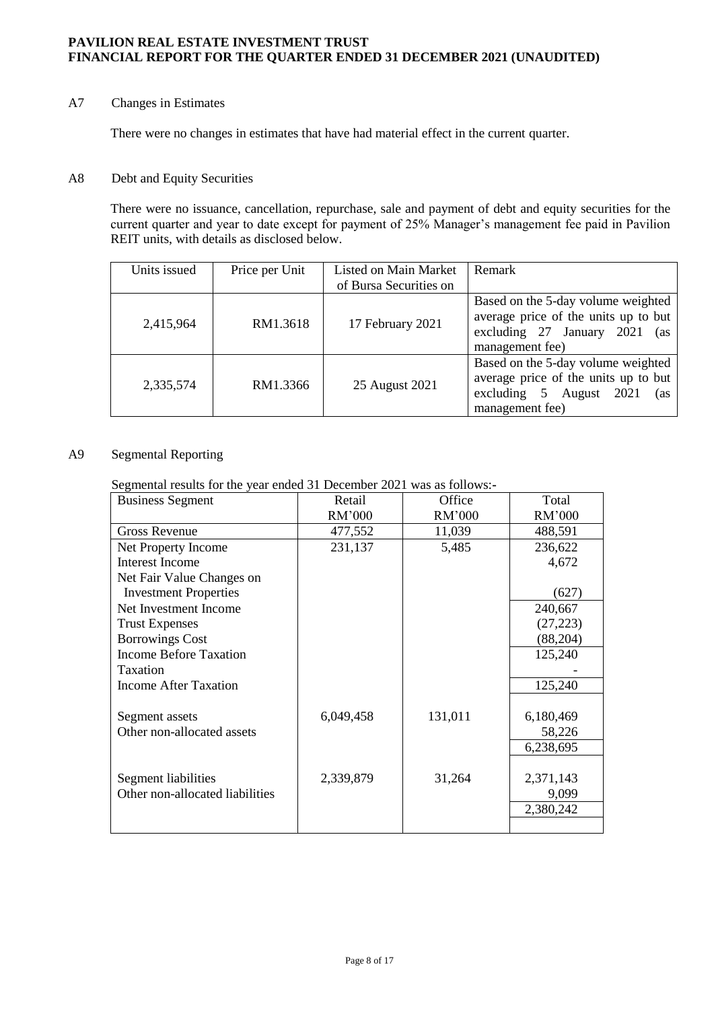# A7 Changes in Estimates

There were no changes in estimates that have had material effect in the current quarter.

#### A8 Debt and Equity Securities

There were no issuance, cancellation, repurchase, sale and payment of debt and equity securities for the current quarter and year to date except for payment of 25% Manager's management fee paid in Pavilion REIT units, with details as disclosed below.

| Units issued | Price per Unit | Listed on Main Market  | Remark                                                                                                                                |
|--------------|----------------|------------------------|---------------------------------------------------------------------------------------------------------------------------------------|
|              |                | of Bursa Securities on |                                                                                                                                       |
| 2,415,964    | RM1.3618       | 17 February 2021       | Based on the 5-day volume weighted<br>average price of the units up to but<br>excluding 27 January 2021<br>(as<br>management fee)     |
| 2,335,574    | RM1.3366       | 25 August 2021         | Based on the 5-day volume weighted<br>average price of the units up to but<br>excluding 5<br>August<br>2021<br>(as<br>management fee) |

# A9 Segmental Reporting

# Segmental results for the year ended 31 December 2021 was as follows:**-**

| <b>Business Segment</b>         | Retail    | Office  | Total     |
|---------------------------------|-----------|---------|-----------|
|                                 | RM'000    | RM'000  | RM'000    |
| <b>Gross Revenue</b>            | 477,552   | 11,039  | 488,591   |
| Net Property Income             | 231,137   | 5,485   | 236,622   |
| Interest Income                 |           |         | 4,672     |
| Net Fair Value Changes on       |           |         |           |
| <b>Investment Properties</b>    |           |         | (627)     |
| Net Investment Income           |           |         | 240,667   |
| <b>Trust Expenses</b>           |           |         | (27, 223) |
| <b>Borrowings Cost</b>          |           |         | (88, 204) |
| <b>Income Before Taxation</b>   |           |         | 125,240   |
| Taxation                        |           |         |           |
| Income After Taxation           |           |         | 125,240   |
|                                 |           |         |           |
| Segment assets                  | 6,049,458 | 131,011 | 6,180,469 |
| Other non-allocated assets      |           |         | 58,226    |
|                                 |           |         | 6,238,695 |
|                                 |           |         |           |
| Segment liabilities             | 2,339,879 | 31,264  | 2,371,143 |
| Other non-allocated liabilities |           |         | 9,099     |
|                                 |           |         | 2,380,242 |
|                                 |           |         |           |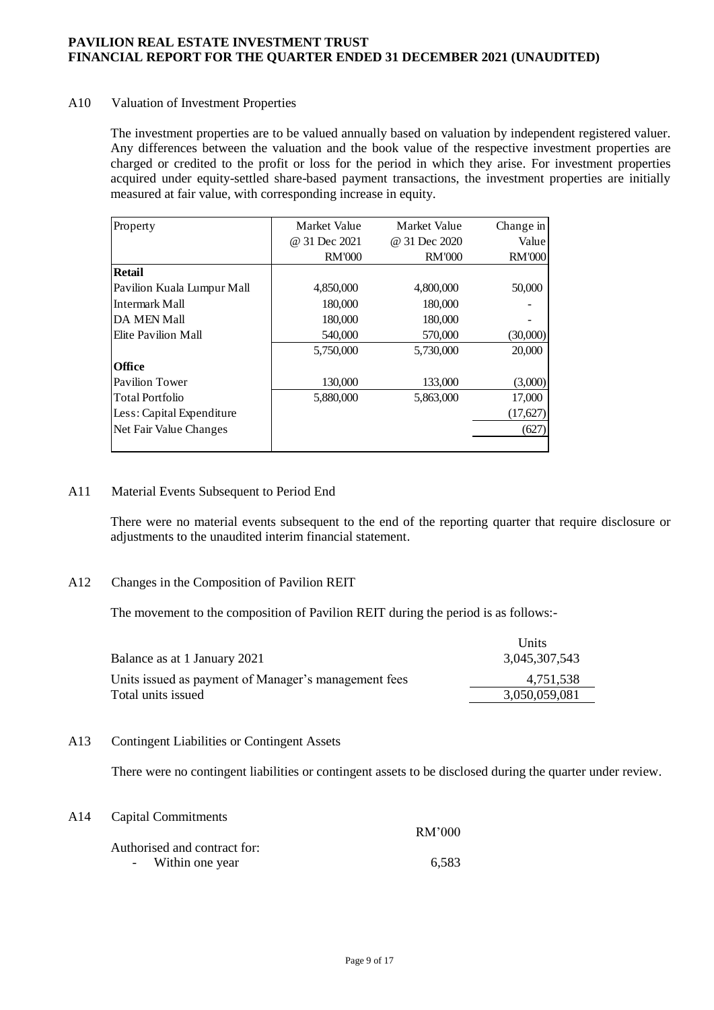## A10 Valuation of Investment Properties

The investment properties are to be valued annually based on valuation by independent registered valuer. Any differences between the valuation and the book value of the respective investment properties are charged or credited to the profit or loss for the period in which they arise. For investment properties acquired under equity-settled share-based payment transactions, the investment properties are initially measured at fair value, with corresponding increase in equity.

| Property                   | Market Value  | Market Value  | Change in     |
|----------------------------|---------------|---------------|---------------|
|                            | @ 31 Dec 2021 | @ 31 Dec 2020 | Value         |
|                            | <b>RM'000</b> | <b>RM'000</b> | <b>RM'000</b> |
| <b>Retail</b>              |               |               |               |
| Pavilion Kuala Lumpur Mall | 4,850,000     | 4,800,000     | 50,000        |
| Intermark Mall             | 180,000       | 180,000       |               |
| <b>DA MEN Mall</b>         | 180,000       | 180,000       |               |
| Elite Pavilion Mall        | 540,000       | 570,000       | (30,000)      |
|                            | 5,750,000     | 5,730,000     | 20,000        |
| <b>Office</b>              |               |               |               |
| Pavilion Tower             | 130,000       | 133,000       | (3,000)       |
| <b>Total Portfolio</b>     | 5,880,000     | 5,863,000     | 17,000        |
| Less: Capital Expenditure  |               |               | (17,627)      |
| Net Fair Value Changes     |               |               | (627)         |
|                            |               |               |               |

## A11 Material Events Subsequent to Period End

There were no material events subsequent to the end of the reporting quarter that require disclosure or adjustments to the unaudited interim financial statement.

#### A12 Changes in the Composition of Pavilion REIT

The movement to the composition of Pavilion REIT during the period is as follows:-

| Balance as at 1 January 2021                         | Units<br>3,045,307,543 |
|------------------------------------------------------|------------------------|
| Units issued as payment of Manager's management fees | 4.751.538              |
| Total units issued                                   | 3,050,059,081          |

#### A13 Contingent Liabilities or Contingent Assets

There were no contingent liabilities or contingent assets to be disclosed during the quarter under review.

| A14 Capital Commitments      |        |
|------------------------------|--------|
| Authorised and contract for: | RM'000 |
| - Within one year            | 6.583  |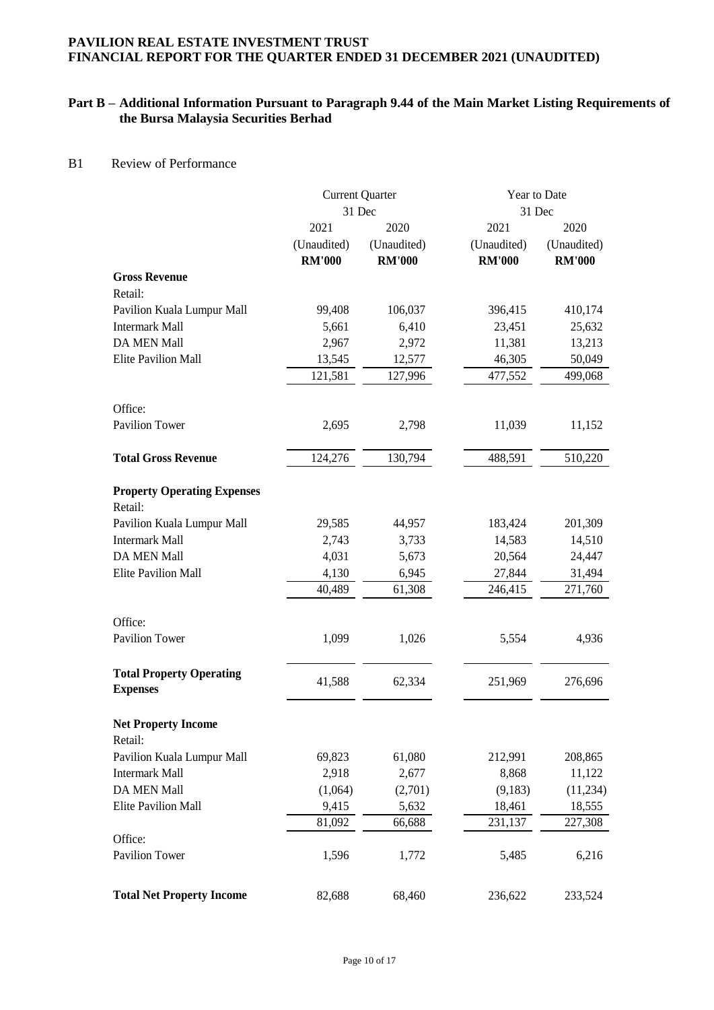# **Part B – Additional Information Pursuant to Paragraph 9.44 of the Main Market Listing Requirements of the Bursa Malaysia Securities Berhad**

#### B1 Review of Performance

|                                    | <b>Current Quarter</b> |               | Year to Date  |               |
|------------------------------------|------------------------|---------------|---------------|---------------|
|                                    | 31 Dec                 |               | 31 Dec        |               |
|                                    | 2021                   | 2020          | 2021          | 2020          |
|                                    | (Unaudited)            | (Unaudited)   | (Unaudited)   | (Unaudited)   |
|                                    | <b>RM'000</b>          | <b>RM'000</b> | <b>RM'000</b> | <b>RM'000</b> |
| <b>Gross Revenue</b>               |                        |               |               |               |
| Retail:                            |                        |               |               |               |
| Pavilion Kuala Lumpur Mall         | 99,408                 | 106,037       | 396,415       | 410,174       |
| <b>Intermark Mall</b>              | 5,661                  | 6,410         | 23,451        | 25,632        |
| DA MEN Mall                        | 2,967                  | 2,972         | 11,381        | 13,213        |
| <b>Elite Pavilion Mall</b>         | 13,545                 | 12,577        | 46,305        | 50,049        |
|                                    | 121,581                | 127,996       | 477,552       | 499,068       |
|                                    |                        |               |               |               |
| Office:                            |                        |               |               |               |
| <b>Pavilion Tower</b>              | 2,695                  | 2,798         | 11,039        | 11,152        |
|                                    |                        |               |               |               |
| <b>Total Gross Revenue</b>         | 124,276                | 130,794       | 488,591       | 510,220       |
|                                    |                        |               |               |               |
| <b>Property Operating Expenses</b> |                        |               |               |               |
| Retail:                            |                        |               |               |               |
| Pavilion Kuala Lumpur Mall         | 29,585                 | 44,957        | 183,424       | 201,309       |
| <b>Intermark Mall</b>              | 2,743                  | 3,733         | 14,583        | 14,510        |
| DA MEN Mall                        | 4,031                  | 5,673         | 20,564        | 24,447        |
| <b>Elite Pavilion Mall</b>         | 4,130                  | 6,945         | 27,844        | 31,494        |
|                                    | 40,489                 | 61,308        | 246,415       | 271,760       |
|                                    |                        |               |               |               |
| Office:                            |                        |               |               |               |
| <b>Pavilion Tower</b>              | 1,099                  | 1,026         | 5,554         | 4,936         |
|                                    |                        |               |               |               |
| <b>Total Property Operating</b>    | 41,588                 | 62,334        | 251,969       | 276,696       |
| <b>Expenses</b>                    |                        |               |               |               |
|                                    |                        |               |               |               |
| <b>Net Property Income</b>         |                        |               |               |               |
| Retail:                            |                        |               |               |               |
| Pavilion Kuala Lumpur Mall         | 69,823                 | 61,080        | 212,991       | 208,865       |
| <b>Intermark Mall</b>              | 2,918                  | 2,677         | 8,868         | 11,122        |
| DA MEN Mall                        | (1,064)                | (2,701)       | (9,183)       | (11,234)      |
| <b>Elite Pavilion Mall</b>         | 9,415                  | 5,632         | 18,461        | 18,555        |
|                                    | 81,092                 | 66,688        | 231,137       | 227,308       |
| Office:                            |                        |               |               |               |
| Pavilion Tower                     | 1,596                  | 1,772         | 5,485         | 6,216         |
|                                    |                        |               |               |               |
| <b>Total Net Property Income</b>   | 82,688                 | 68,460        | 236,622       | 233,524       |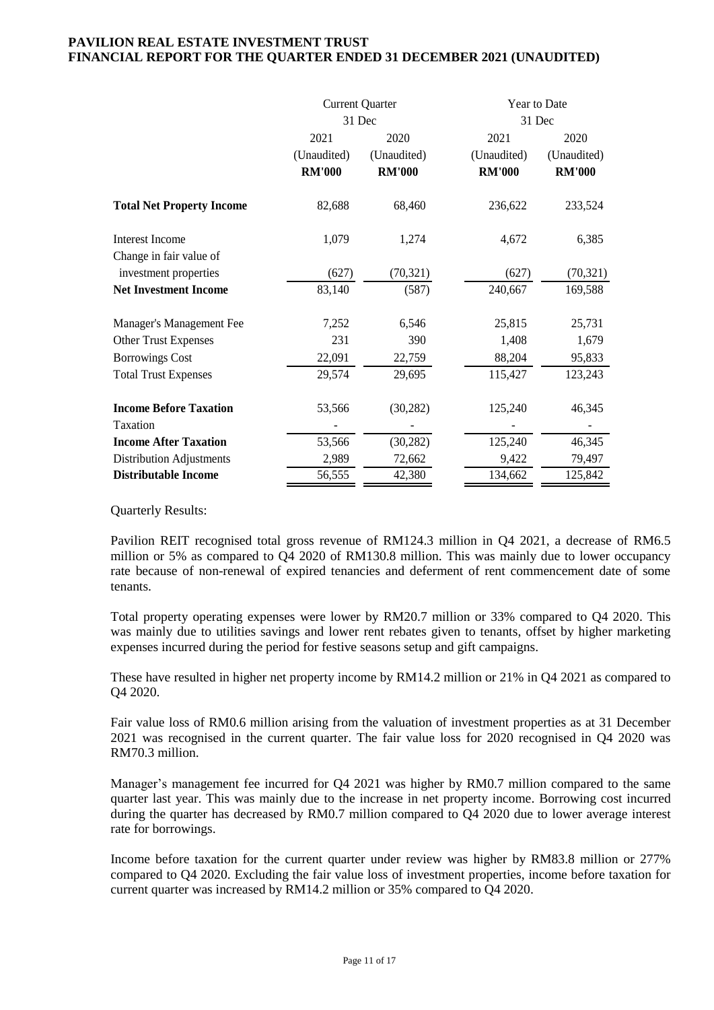|                                            | <b>Current Quarter</b><br>31 Dec     |                                      | Year to Date                         | 31 Dec                               |
|--------------------------------------------|--------------------------------------|--------------------------------------|--------------------------------------|--------------------------------------|
|                                            | 2021<br>(Unaudited)<br><b>RM'000</b> | 2020<br>(Unaudited)<br><b>RM'000</b> | 2021<br>(Unaudited)<br><b>RM'000</b> | 2020<br>(Unaudited)<br><b>RM'000</b> |
| <b>Total Net Property Income</b>           | 82,688                               | 68,460                               | 236,622                              | 233,524                              |
| Interest Income<br>Change in fair value of | 1,079                                | 1,274                                | 4,672                                | 6,385                                |
| investment properties                      | (627)                                | (70, 321)                            | (627)                                | (70, 321)                            |
| <b>Net Investment Income</b>               | 83,140                               | (587)                                | 240,667                              | 169,588                              |
| Manager's Management Fee                   | 7,252                                | 6,546                                | 25,815                               | 25,731                               |
| <b>Other Trust Expenses</b>                | 231                                  | 390                                  | 1,408                                | 1,679                                |
| <b>Borrowings Cost</b>                     | 22,091                               | 22,759                               | 88,204                               | 95,833                               |
| <b>Total Trust Expenses</b>                | 29,574                               | 29,695                               | 115,427                              | 123,243                              |
| <b>Income Before Taxation</b>              | 53,566                               | (30, 282)                            | 125,240                              | 46,345                               |
| Taxation                                   |                                      |                                      |                                      |                                      |
| <b>Income After Taxation</b>               | 53,566                               | (30, 282)                            | 125,240                              | 46,345                               |
| Distribution Adjustments                   | 2,989                                | 72,662                               | 9,422                                | 79,497                               |
| <b>Distributable Income</b>                | 56,555                               | 42,380                               | 134,662                              | 125,842                              |

Quarterly Results:

Pavilion REIT recognised total gross revenue of RM124.3 million in Q4 2021, a decrease of RM6.5 million or 5% as compared to Q4 2020 of RM130.8 million. This was mainly due to lower occupancy rate because of non-renewal of expired tenancies and deferment of rent commencement date of some tenants.

Total property operating expenses were lower by RM20.7 million or 33% compared to Q4 2020. This was mainly due to utilities savings and lower rent rebates given to tenants, offset by higher marketing expenses incurred during the period for festive seasons setup and gift campaigns.

These have resulted in higher net property income by RM14.2 million or 21% in Q4 2021 as compared to Q4 2020.

Fair value loss of RM0.6 million arising from the valuation of investment properties as at 31 December 2021 was recognised in the current quarter. The fair value loss for 2020 recognised in Q4 2020 was RM70.3 million.

Manager's management fee incurred for Q4 2021 was higher by RM0.7 million compared to the same quarter last year. This was mainly due to the increase in net property income. Borrowing cost incurred during the quarter has decreased by RM0.7 million compared to Q4 2020 due to lower average interest rate for borrowings.

Income before taxation for the current quarter under review was higher by RM83.8 million or 277% compared to Q4 2020. Excluding the fair value loss of investment properties, income before taxation for current quarter was increased by RM14.2 million or 35% compared to Q4 2020.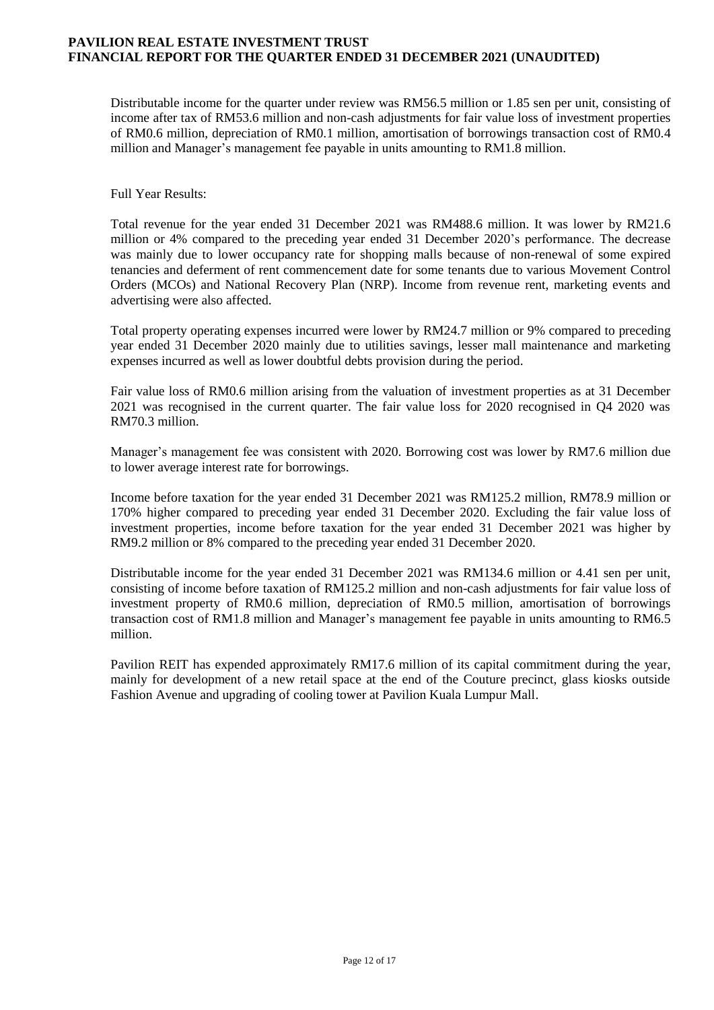Distributable income for the quarter under review was RM56.5 million or 1.85 sen per unit, consisting of income after tax of RM53.6 million and non-cash adjustments for fair value loss of investment properties of RM0.6 million, depreciation of RM0.1 million, amortisation of borrowings transaction cost of RM0.4 million and Manager's management fee payable in units amounting to RM1.8 million.

Full Year Results:

Total revenue for the year ended 31 December 2021 was RM488.6 million. It was lower by RM21.6 million or 4% compared to the preceding year ended 31 December 2020's performance. The decrease was mainly due to lower occupancy rate for shopping malls because of non-renewal of some expired tenancies and deferment of rent commencement date for some tenants due to various Movement Control Orders (MCOs) and National Recovery Plan (NRP). Income from revenue rent, marketing events and advertising were also affected.

Total property operating expenses incurred were lower by RM24.7 million or 9% compared to preceding year ended 31 December 2020 mainly due to utilities savings, lesser mall maintenance and marketing expenses incurred as well as lower doubtful debts provision during the period.

Fair value loss of RM0.6 million arising from the valuation of investment properties as at 31 December 2021 was recognised in the current quarter. The fair value loss for 2020 recognised in Q4 2020 was RM70.3 million.

Manager's management fee was consistent with 2020. Borrowing cost was lower by RM7.6 million due to lower average interest rate for borrowings.

Income before taxation for the year ended 31 December 2021 was RM125.2 million, RM78.9 million or 170% higher compared to preceding year ended 31 December 2020. Excluding the fair value loss of investment properties, income before taxation for the year ended 31 December 2021 was higher by RM9.2 million or 8% compared to the preceding year ended 31 December 2020.

Distributable income for the year ended 31 December 2021 was RM134.6 million or 4.41 sen per unit, consisting of income before taxation of RM125.2 million and non-cash adjustments for fair value loss of investment property of RM0.6 million, depreciation of RM0.5 million, amortisation of borrowings transaction cost of RM1.8 million and Manager's management fee payable in units amounting to RM6.5 million.

Pavilion REIT has expended approximately RM17.6 million of its capital commitment during the year, mainly for development of a new retail space at the end of the Couture precinct, glass kiosks outside Fashion Avenue and upgrading of cooling tower at Pavilion Kuala Lumpur Mall.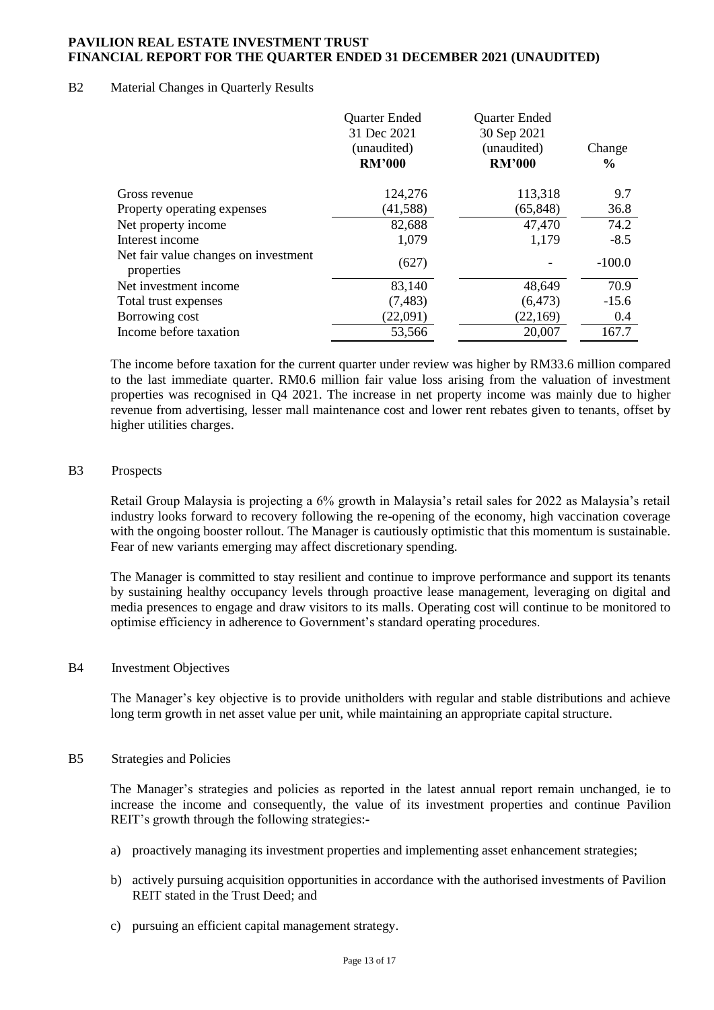#### B2 Material Changes in Quarterly Results

|                                                    | <b>Quarter Ended</b><br>31 Dec 2021<br>(unaudited)<br><b>RM'000</b> | <b>Quarter Ended</b><br>30 Sep 2021<br>(unaudited)<br><b>RM'000</b> | Change<br>$\frac{6}{9}$ |
|----------------------------------------------------|---------------------------------------------------------------------|---------------------------------------------------------------------|-------------------------|
|                                                    |                                                                     |                                                                     |                         |
| Gross revenue                                      | 124,276                                                             | 113,318                                                             | 9.7                     |
| Property operating expenses                        | (41, 588)                                                           | (65, 848)                                                           | 36.8                    |
| Net property income                                | 82,688                                                              | 47,470                                                              | 74.2                    |
| Interest income                                    | 1,079                                                               | 1,179                                                               | $-8.5$                  |
| Net fair value changes on investment<br>properties | (627)                                                               |                                                                     | $-100.0$                |
| Net investment income                              | 83,140                                                              | 48,649                                                              | 70.9                    |
| Total trust expenses                               | (7, 483)                                                            | (6, 473)                                                            | $-15.6$                 |
| Borrowing cost                                     | (22,091)                                                            | (22,169)                                                            | 0.4                     |
| Income before taxation                             | 53,566                                                              | 20,007                                                              | 167.7                   |

The income before taxation for the current quarter under review was higher by RM33.6 million compared to the last immediate quarter. RM0.6 million fair value loss arising from the valuation of investment properties was recognised in Q4 2021. The increase in net property income was mainly due to higher revenue from advertising, lesser mall maintenance cost and lower rent rebates given to tenants, offset by higher utilities charges.

#### B3 Prospects

Retail Group Malaysia is projecting a 6% growth in Malaysia's retail sales for 2022 as Malaysia's retail industry looks forward to recovery following the re-opening of the economy, high vaccination coverage with the ongoing booster rollout. The Manager is cautiously optimistic that this momentum is sustainable. Fear of new variants emerging may affect discretionary spending.

The Manager is committed to stay resilient and continue to improve performance and support its tenants by sustaining healthy occupancy levels through proactive lease management, leveraging on digital and media presences to engage and draw visitors to its malls. Operating cost will continue to be monitored to optimise efficiency in adherence to Government's standard operating procedures.

#### B4 Investment Objectives

The Manager's key objective is to provide unitholders with regular and stable distributions and achieve long term growth in net asset value per unit, while maintaining an appropriate capital structure.

## B5 Strategies and Policies

The Manager's strategies and policies as reported in the latest annual report remain unchanged, ie to increase the income and consequently, the value of its investment properties and continue Pavilion REIT's growth through the following strategies:**-**

- a) proactively managing its investment properties and implementing asset enhancement strategies;
- b) actively pursuing acquisition opportunities in accordance with the authorised investments of Pavilion REIT stated in the Trust Deed; and
- c) pursuing an efficient capital management strategy.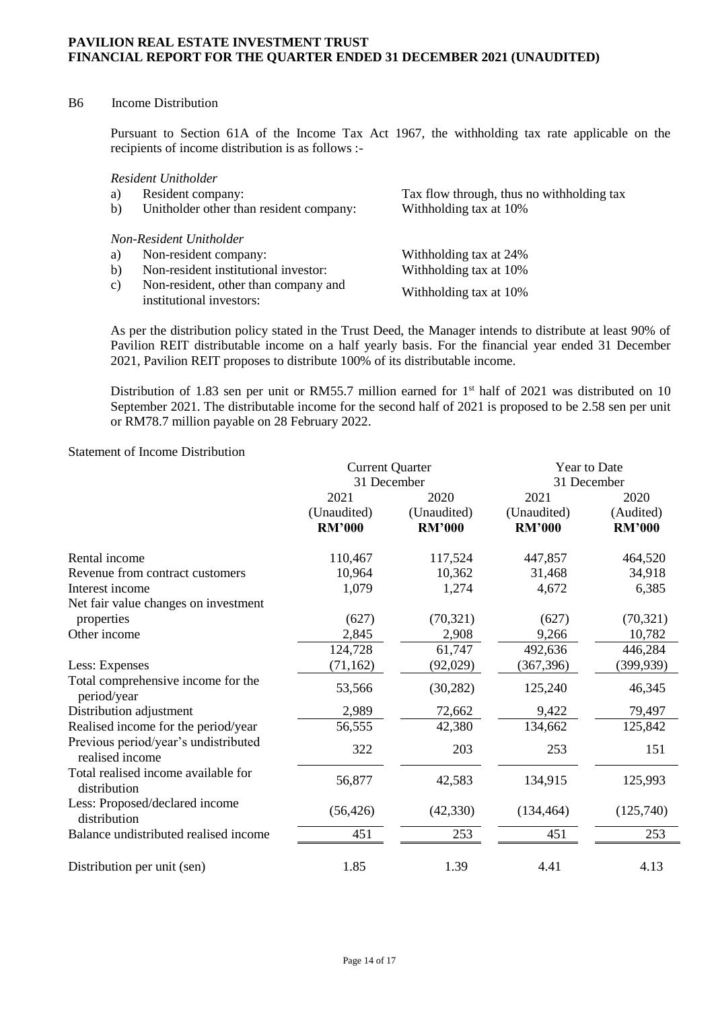## B6 Income Distribution

Pursuant to Section 61A of the Income Tax Act 1967, the withholding tax rate applicable on the recipients of income distribution is as follows :-

*Resident Unitholder*

| a)<br>b)     | Resident company:<br>Unitholder other than resident company:     | Tax flow through, thus no withholding tax<br>Withholding tax at 10% |
|--------------|------------------------------------------------------------------|---------------------------------------------------------------------|
|              | Non-Resident Unitholder                                          |                                                                     |
| a)           | Non-resident company:                                            | Withholding tax at 24%                                              |
| b)           | Non-resident institutional investor:                             | Withholding tax at 10%                                              |
| $\mathbf{c}$ | Non-resident, other than company and<br>institutional investors: | Withholding tax at 10%                                              |

As per the distribution policy stated in the Trust Deed, the Manager intends to distribute at least 90% of Pavilion REIT distributable income on a half yearly basis. For the financial year ended 31 December 2021, Pavilion REIT proposes to distribute 100% of its distributable income.

Distribution of 1.83 sen per unit or RM55.7 million earned for  $1<sup>st</sup>$  half of 2021 was distributed on 10 September 2021. The distributable income for the second half of 2021 is proposed to be 2.58 sen per unit or RM78.7 million payable on 28 February 2022.

#### Statement of Income Distribution

|                                                         | <b>Current Quarter</b> |               | <b>Year to Date</b> |               |
|---------------------------------------------------------|------------------------|---------------|---------------------|---------------|
|                                                         | 31 December            |               |                     | 31 December   |
|                                                         | 2021                   | 2020          | 2021                | 2020          |
|                                                         | (Unaudited)            | (Unaudited)   | (Unaudited)         | (Audited)     |
|                                                         | <b>RM'000</b>          | <b>RM'000</b> | <b>RM'000</b>       | <b>RM'000</b> |
| Rental income                                           | 110,467                | 117,524       | 447,857             | 464,520       |
| Revenue from contract customers                         | 10,964                 | 10,362        | 31,468              | 34,918        |
| Interest income                                         | 1,079                  | 1,274         | 4,672               | 6,385         |
| Net fair value changes on investment                    |                        |               |                     |               |
| properties                                              | (627)                  | (70, 321)     | (627)               | (70, 321)     |
| Other income                                            | 2,845                  | 2,908         | 9,266               | 10,782        |
|                                                         | 124,728                | 61,747        | 492,636             | 446,284       |
| Less: Expenses                                          | (71, 162)              | (92,029)      | (367, 396)          | (399, 939)    |
| Total comprehensive income for the<br>period/year       | 53,566                 | (30, 282)     | 125,240             | 46,345        |
| Distribution adjustment                                 | 2,989                  | 72,662        | 9,422               | 79,497        |
| Realised income for the period/year                     | 56,555                 | 42,380        | 134,662             | 125,842       |
| Previous period/year's undistributed<br>realised income | 322                    | 203           | 253                 | 151           |
| Total realised income available for<br>distribution     | 56,877                 | 42,583        | 134,915             | 125,993       |
| Less: Proposed/declared income<br>distribution          | (56, 426)              | (42, 330)     | (134, 464)          | (125,740)     |
| Balance undistributed realised income                   | 451                    | 253           | 451                 | 253           |
| Distribution per unit (sen)                             | 1.85                   | 1.39          | 4.41                | 4.13          |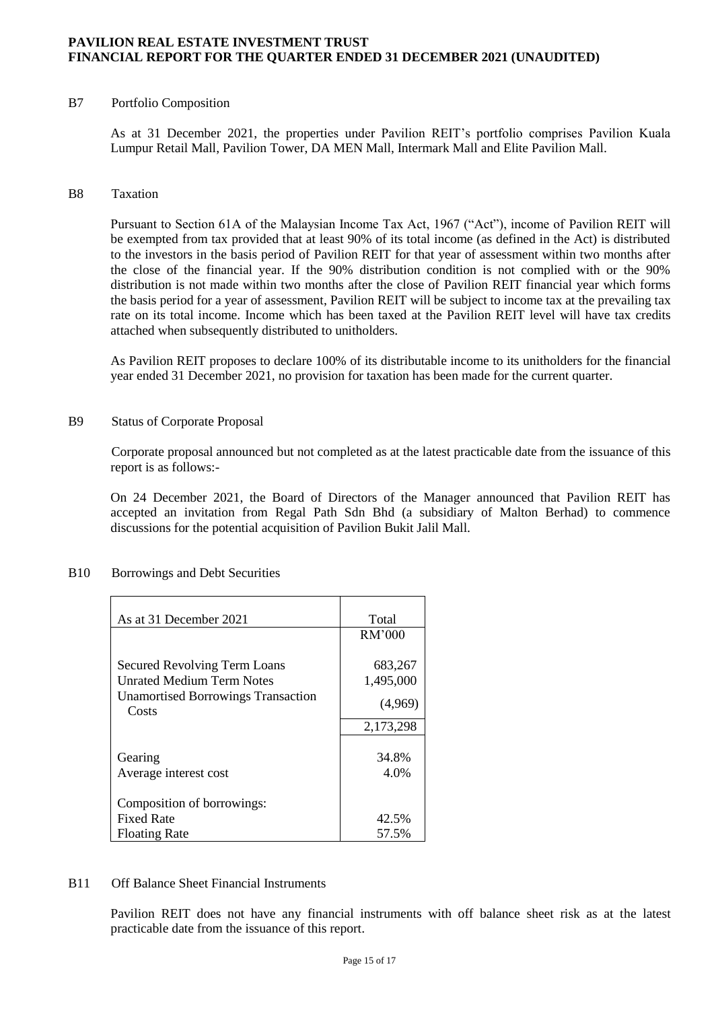#### B7 Portfolio Composition

As at 31 December 2021, the properties under Pavilion REIT's portfolio comprises Pavilion Kuala Lumpur Retail Mall, Pavilion Tower, DA MEN Mall, Intermark Mall and Elite Pavilion Mall.

#### B8 Taxation

Pursuant to Section 61A of the Malaysian Income Tax Act, 1967 ("Act"), income of Pavilion REIT will be exempted from tax provided that at least 90% of its total income (as defined in the Act) is distributed to the investors in the basis period of Pavilion REIT for that year of assessment within two months after the close of the financial year. If the 90% distribution condition is not complied with or the 90% distribution is not made within two months after the close of Pavilion REIT financial year which forms the basis period for a year of assessment, Pavilion REIT will be subject to income tax at the prevailing tax rate on its total income. Income which has been taxed at the Pavilion REIT level will have tax credits attached when subsequently distributed to unitholders.

As Pavilion REIT proposes to declare 100% of its distributable income to its unitholders for the financial year ended 31 December 2021, no provision for taxation has been made for the current quarter.

#### B9 Status of Corporate Proposal

Corporate proposal announced but not completed as at the latest practicable date from the issuance of this report is as follows:-

On 24 December 2021, the Board of Directors of the Manager announced that Pavilion REIT has accepted an invitation from Regal Path Sdn Bhd (a subsidiary of Malton Berhad) to commence discussions for the potential acquisition of Pavilion Bukit Jalil Mall.

| As at 31 December 2021                             | Total     |
|----------------------------------------------------|-----------|
|                                                    | RM'000    |
|                                                    |           |
| <b>Secured Revolving Term Loans</b>                | 683,267   |
| Unrated Medium Term Notes                          | 1,495,000 |
| <b>Unamortised Borrowings Transaction</b><br>Costs | (4,969)   |
|                                                    | 2,173,298 |
|                                                    |           |
| Gearing                                            | 34.8%     |
| Average interest cost                              | 4.0%      |
|                                                    |           |
| Composition of borrowings:                         |           |
| <b>Fixed Rate</b>                                  | 42.5%     |
| <b>Floating Rate</b>                               | 57.5%     |

#### B10 Borrowings and Debt Securities

#### B11 Off Balance Sheet Financial Instruments

Pavilion REIT does not have any financial instruments with off balance sheet risk as at the latest practicable date from the issuance of this report.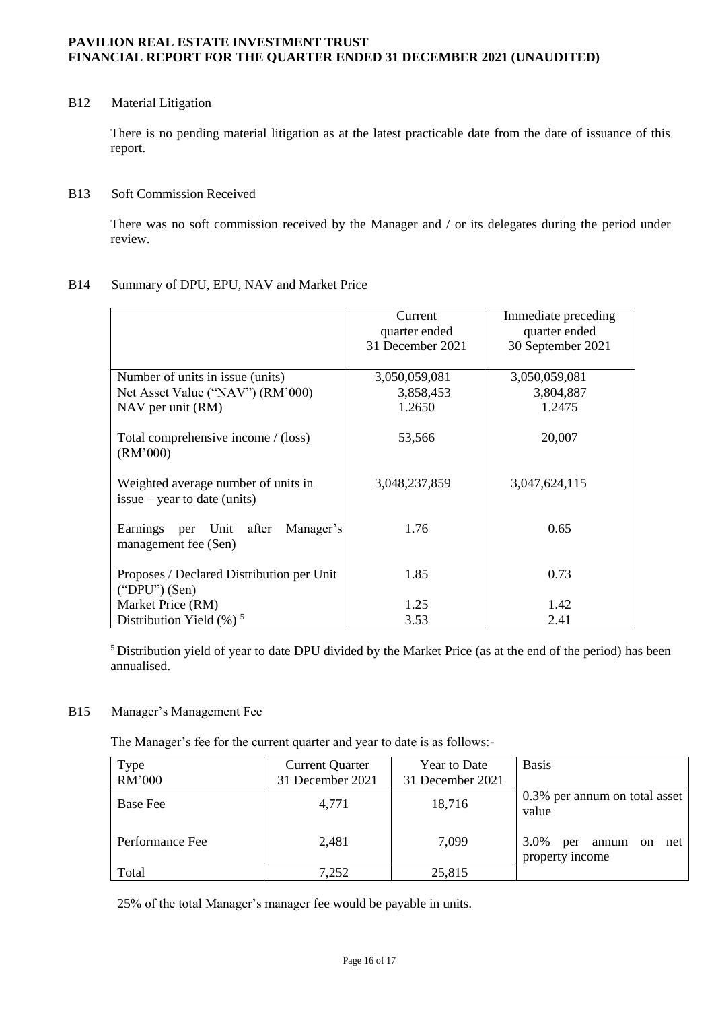# B12 Material Litigation

There is no pending material litigation as at the latest practicable date from the date of issuance of this report.

## B13 Soft Commission Received

There was no soft commission received by the Manager and / or its delegates during the period under review.

## B14 Summary of DPU, EPU, NAV and Market Price

|                                                                       | Current<br>quarter ended<br>31 December 2021 | Immediate preceding<br>quarter ended<br>30 September 2021 |
|-----------------------------------------------------------------------|----------------------------------------------|-----------------------------------------------------------|
|                                                                       |                                              |                                                           |
| Number of units in issue (units)                                      | 3,050,059,081                                | 3,050,059,081                                             |
| Net Asset Value ("NAV") (RM'000)                                      | 3,858,453                                    | 3,804,887                                                 |
| NAV per unit (RM)                                                     | 1.2650                                       | 1.2475                                                    |
| Total comprehensive income / (loss)<br>(RM'000)                       | 53,566                                       | 20,007                                                    |
| Weighted average number of units in<br>$issue - year to date (units)$ | 3,048,237,859                                | 3,047,624,115                                             |
| Earnings per Unit after Manager's<br>management fee (Sen)             | 1.76                                         | 0.65                                                      |
| Proposes / Declared Distribution per Unit<br>$("DPU")$ (Sen)          | 1.85                                         | 0.73                                                      |
| Market Price (RM)                                                     | 1.25                                         | 1.42                                                      |
| Distribution Yield $(\%)$ <sup>5</sup>                                | 3.53                                         | 2.41                                                      |

<sup>5</sup> Distribution yield of year to date DPU divided by the Market Price (as at the end of the period) has been annualised.

## B15 Manager's Management Fee

The Manager's fee for the current quarter and year to date is as follows:-

| Type<br>RM'000  | <b>Current Quarter</b><br>31 December 2021 | <b>Year to Date</b><br>31 December 2021 | <b>Basis</b>                                                    |
|-----------------|--------------------------------------------|-----------------------------------------|-----------------------------------------------------------------|
| <b>Base Fee</b> | 4,771                                      | 18,716                                  | 0.3% per annum on total asset<br>value                          |
| Performance Fee | 2,481                                      | 7,099                                   | 3.0%<br>annum<br>net<br>per<br><sub>on</sub><br>property income |
| Total           | 7,252                                      | 25,815                                  |                                                                 |

25% of the total Manager's manager fee would be payable in units.